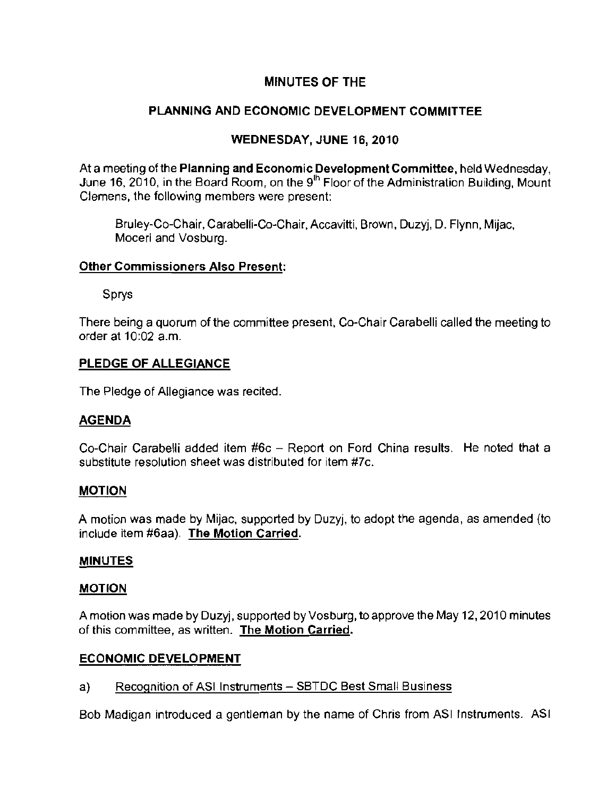# **MINUTES OF THE**

# **PLANNING AND ECONOMIC DEVELOPMENT COMMITTEE**

# **WEDNESDAY, JUNE** 16,2010

At a meeting of the **Planning and** Economic Development Committee, held Wednesday, June 16, 2010, in the Board Room, on the  $9<sup>th</sup>$  Floor of the Administration Building, Mount Clemens, the following members were present;

Bruley-Co-Chair, Carabelli-Co-Chair, Accavitti, Brown, Duzyj, D. Flynn, Mijac, **Moceri and Vosburg.** 

### **Other Commissioners Also Present:**

Sprys

There being a quorum of the committee present, Co-Chair Carabelli called the meeting to order at 10:02 a.m.

# **PLEDGE OF ALLEGIANCE**

The Pledge of Allegiance was recited.

## **AGENDA**

Co-Chair Carabelli added item #6c - Report on Ford China results. He noted that a substitute resolution sheet was distributed for item #7c.

## **MOTION**

A motion was made by Mijac, supported by Duzyj, to adopt the agenda, as amended (to include item #6aa). The Motion Carried.

## **MINUTES**

#### **MOTION**

A motion was made by Duzyj, supported by Vosburg, to approve the May 12, 2010 minutes **of this committee, as written. The Motion Carried.** 

## **ECONOMIC DEVELOPMENT**

## a) Recognition of ASI Instruments - SBTDC Best Small Business

Bob Madigan introduced a gentleman by the name of Chris from ASI Instruments. ASI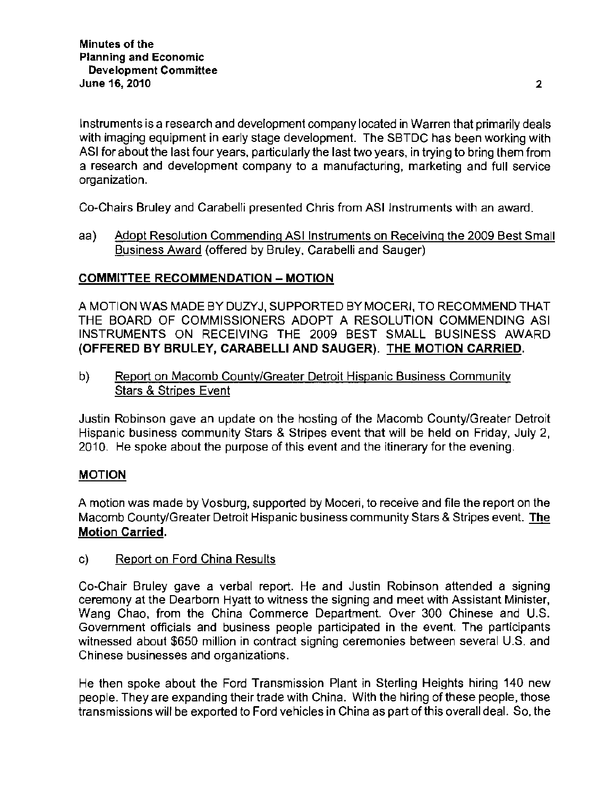Instruments is a research and development company located in Warren that primarily deals with imaging equipment in early stage development. The SBTDC has been working with ASI for about the last four years, particuiarly the last two years, in trying to bring them from **a research and development company to a manufacturing, marketing and full service organization.** 

Co-Chairs Bruley and Carabelli presented Chris from ASI instruments with an award.

aa) Adopt Resolution Commending ASI Instruments on Receiving the 2009 Best Small Business Award (offered by Bruley, Carabelli and Sauger)

### **COMMITTEE** RECOMMENDATION - MOTION

A MOTION WAS MADE BY DUZYJ, SUPPORTED BY MOCERI, TO RECOMMEND THAT THE BOARD OF COMMISSIONERS ADOPT A RESOLUTION COMMENDING ASI INSTRUMENTS ON RECEIVING THE 2009 BEST SMALL BUSINESS AWARD (OFFERED BY BRULEY, CARABELLI AND SAUGER). THE MOTION CARRIED.

b) Report on Macomb County/Greater Detroit Hispanic Business Community **Stars & Stripes Event** 

Justin Robinson gave an update on the hosting of the Macomb County/Greater Detroit Hispanic business community Stars & Stripes event that will be held on Friday, July 2, 2010. He spoke about the purpose of this event and the itinerary for the evening.

#### MOTION

A motion was made by Vosburg, supported by Moceri, to receive and file the report on the **Macomb County/Greater Detroit Hispanic business community Stars & Stripes event. The Motion Carried.** 

c) Report on Ford China Results

**Co-Chair Bruley gave a verbal report. He and Justin Robinson attended a signing ceremony at the Dearborn Hyatt to witness the signing and meet with Assistant Minister,**  Wang Chao, from the China Commerce Department. Over 300 Chinese and U.S. **Government officials and business people participated in the event. The participants witnessed about \$650 million in contract signing ceremonies between several U.S. and Chinese businesses and organizations.** 

He then spoke about the Ford Transmission Plant in Sterling Heights hiring 140 new people. They are expanding their trade with China. With the hiring of these people, those transmissions will be exported to Ford vehicles in China as part of this overall deal. So, the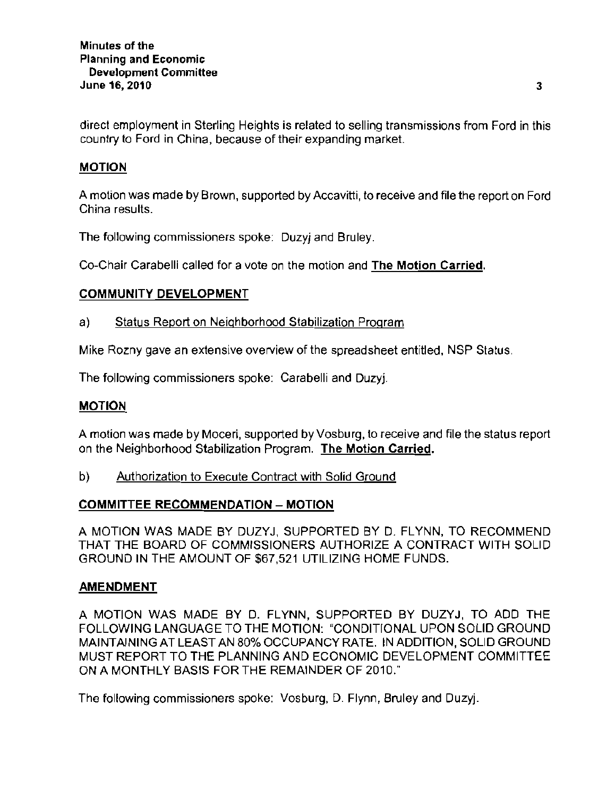direct employment in Sterling Heights is related to selling transmissions from Ford in this country to Ford in China, because of their expanding market.

## MOTION

A motion was made by Brown, supported by Accavitti, to receive and file the report on Ford China results.

The following commissioners spoke: Duzyj and Bruley.

Co-Chair Carabelli called for a vote on the motion and The Motion Carried.

### COMMUNITY DEVELOPMENT

#### a) Status Report on Neighborhood Stabilization Program

Mike Rozny gave an extensive overview of the spreadsheet entitled, NSP Status.

The following commissioners spoke: Carabelli and Duzyj.

### MOTION

A motion was made by Moceri, supported by Vosburg, to receive and file the status report on the Neighborhood Stabilization Program. The Motion Carried.

b) Authorization to Execute Contract with Solid Ground

## COMMITTEE RECOMMENDATION - MOTION

A MOTION WAS MADE BY DUZYJ, SUPPORTED BY D. FLYNN, TO RECOMMEND THAT THE BOARD OF COMMISSIONERS AUTHORIZE A CONTRACT WITH SOLID GROUND IN THE AMOUNT OF \$67,521 UTILIZING HOME FUNDS.

#### AMENDMENT

A MOTION WAS MADE BY D. FLYNN, SUPPORTED BY DUZYJ, TO ADD THE FOLLOWING LANGUAGE TO THE MOTION: "CONDITIONAL UPON SOLID GROUND MAINTAINING AT LEAST AN 80% OCCUPANCY RATE. IN ADDITION, SOLID GROUND MUST REPORT TO THE PLANNING AND ECONOMIC DEVELOPMENT COMMITTEE ON A MONTHLY BASIS FOR THE REMAINDER OF 2010."

The following commissioners spoke: Vosburg, D. Flynn, Bruley and Duzyj.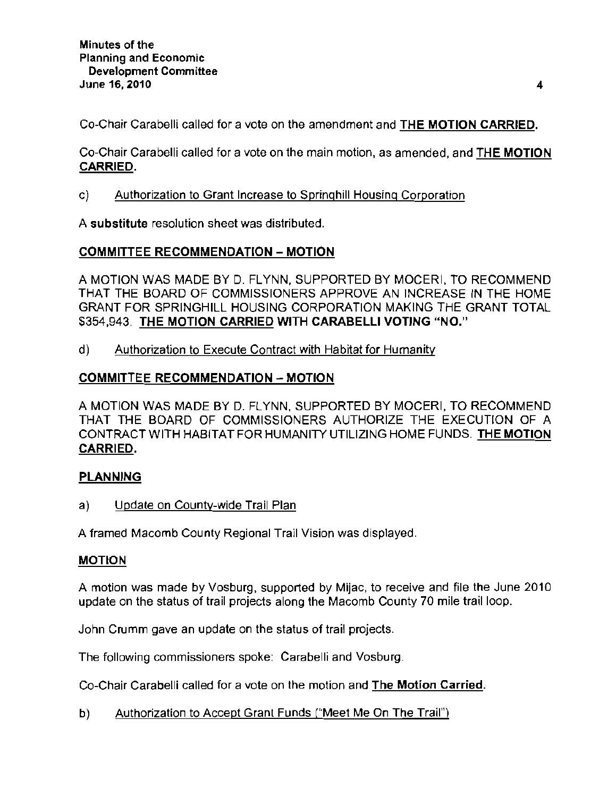Co-Chair Carabelli called for a vote on the amendment and THE MOTION CARRIED.

Co-Chair Carabelli called for a vote on the main motion, as amended, and THE MOTION CARRIED.

c) **Authorization to Grant Increase to Springhill Housing Corporation** 

**A substitute resolution sheet was distributed.** 

## COMMITTEE RECOMMENDATION - MOTION

A MOTION WAS MADE BY D. FLYNN, SUPPORTED BY MOCERI, TO RECOMMEND THAT THE BOARD OF COMMISSIONERS APPROVE AN INCREASE IN THE HOME GRANT FOR SPRINGHILL HOUSING CORPORATION MAKING THE GRANT TOTAL \$354,943. THE MOTION CARRIED WITH CARABELLI VOTING "NO."

d) Authorization to Execute Contract with Habitat for Humanity

# COMMITTEE RECOMMENDATION - MOTION

A MOTION WAS MADE BY D. FLYNN, SUPPORTED BY MOCERI, TO RECOMMEND THAT THE BOARD OF COMMISSIONERS AUTHORIZE THE EXECUTION OF A CONTRACT WITH HABITAT FOR HUMANITY UTILIZING HOME FUNDS. THE MOTION CARRIED.

## PLANNING

a) Update on County-wide Trail Plan

A framed Macomb County Regional Trail Vision was displayed.

## MOTION

A motion was made by Vosburg, supported by Mijac, to receive and file the June 2010 update on the status of trail projects along the Macomb County 70 mile trail loop.

John Crumm gave an update on the status of trail projects.

The following commissioners spoke: Carabelli and Vosburg.

Co-Chair Carabelli called for a vote on the motion and The Motion Carried.

b) Authorization to Accept Grant Funds ("Meet Me On The Trail")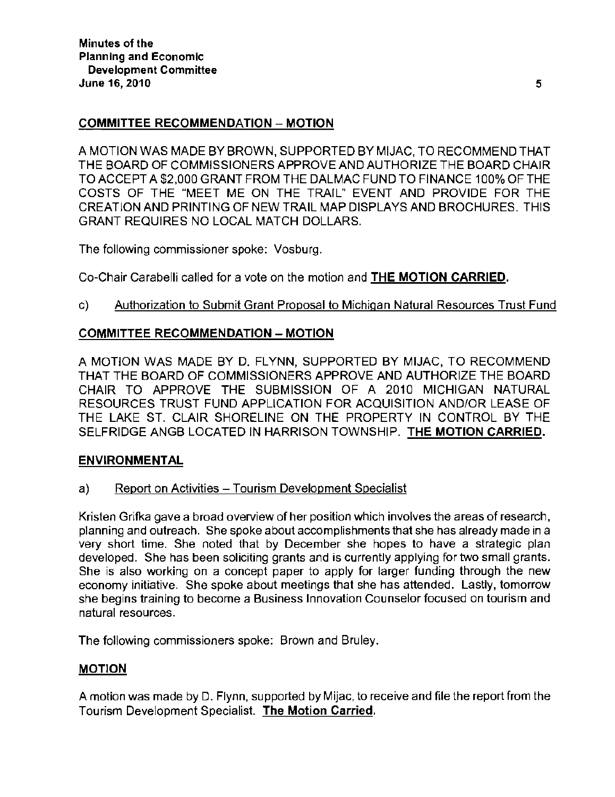## COMMITTEE RECOMMENDATION - MOTION

A MOTION WAS MADE BY BROWN, SUPPORTED BY MIJAC, TO RECOMMEND THAT THE BOARD OF COMMISSIONERS APPROVE AND AUTHORIZE THE BOARD CHAIR TO ACCEPT A \$2,000 GRANT FROM THE DALMAC FUND TO FINANCE 100% OF THE COSTS OF THE "MEET ME ON THE TRAIL" EVENT AND PROVIDE FOR THE CREATION AND PRINTING OF NEW TRAIL MAP DISPLAYS AND BROCHURES. THIS GRANT REQUIRES NO LOCAL MATCH DOLLARS.

The following commissioner spoke: Vosburg.

Co-Chair Carabelli called for a vote on the motion and THE MOTION CARRIED.

### c) Authorization to Submit Grant Proposal to Michigan Natural Resources Trust Fund

### COMMITTEE RECOMMENDATION - MOTION

A MOTION WAS MADE BY D. FLYNN, SUPPORTED BY MIJAC, TO RECOMMEND THAT THE BOARD OF COMMISSIONERS APPROVE AND AUTHORIZE THE BOARD CHAIR TO APPROVE THE SUBMISSION OF A 2010 MICHIGAN NATURAL RESOURCES TRUST FUND APPLICATION FOR ACQUISITION AND/OR LEASE OF THE LAKE ST. CLAIR SHORELINE ON THE PROPERTY IN CONTROL BY THE SELFRIDGE ANGB LOCATED IN HARRISON TOWNSHIP. THE MOTION CARRIED.

### ENVIRONMENTAL

a) Report on Activities - Tourism Development Specialist

Kristen Grifka gave a broad overview of her position which involves the areas of research, planning and outreach. She spoke about accomplishments that she has already made in a very short time. She noted that by December she hopes to have a strategic plan developed. She has been soliciting grants and is currently applying for two small grants. She is also working on a concept paper to apply for larger funding through the new economy initiative. She spoke about meetings that she has attended. Lastly, tomorrow she begins training to become a Business Innovation Counselor focused on tourism and natural resources.

The following commissioners spoke: Brown and Bruley.

# MOTION

A motion was made by D. Flynn, supported by Mijac, to receive and file the report from the Tourism Development Specialist. **The Motion Carried.**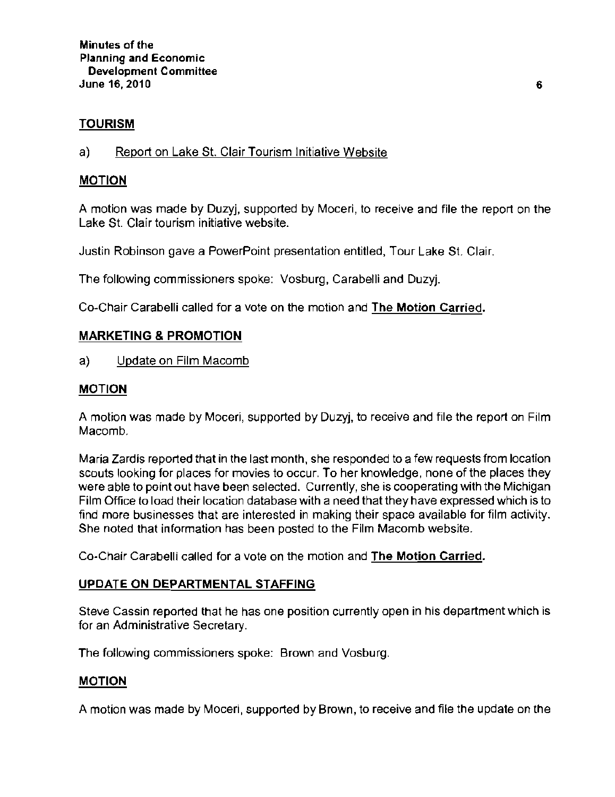## **TOURISM**

a) Report on Lake St. Clair Tourism Initiative Website

## **MOTION**

A motion was made by Duzyj, supported by Moceri, to receive and file the report on the **Lake St. Clair tourism initiative website.** 

Justin Robinson gave a PowerPoint presentation entitled, Tour Lake SI. Clair.

The following commissioners spoke: Vosburg, Carabelli and Duzyj.

Co-Chair Carabelli called for a vote on the motion and The Motion Carried.

# **MARKETING & PROMOTION**

a) Update on Film Macomb

## **MOTION**

A motion was made by Moceri, supported by Duzyj, to receive and file the report on Film Macomb.

Maria Zardis reported that in the last month, she responded to a few requests from location scouts looking for places for movies to occur. To her knowledge, none of the places they were able to point out have been selected. Currently, she is cooperating with the Michigan Film Office to load their location database with a need that they have expressed which is to **find more businesses that are interested in making their space available for film activity.**  She noted that information has been posted to the Film Macomb website.

Co-Chair Carabelli called for a vote on the motion and The Motion Carried.

## **UPDATE ON DEPARTMENTAL** STAFFING

**Steve Cassin reported that he has one position currently open in his department which is for an Administrative Secretary.** 

**The following commissioners spoke: Brown and Vosburg.** 

## **MOTION**

A motion was made by Moceri, supported by Brown, to receive and file the update on the